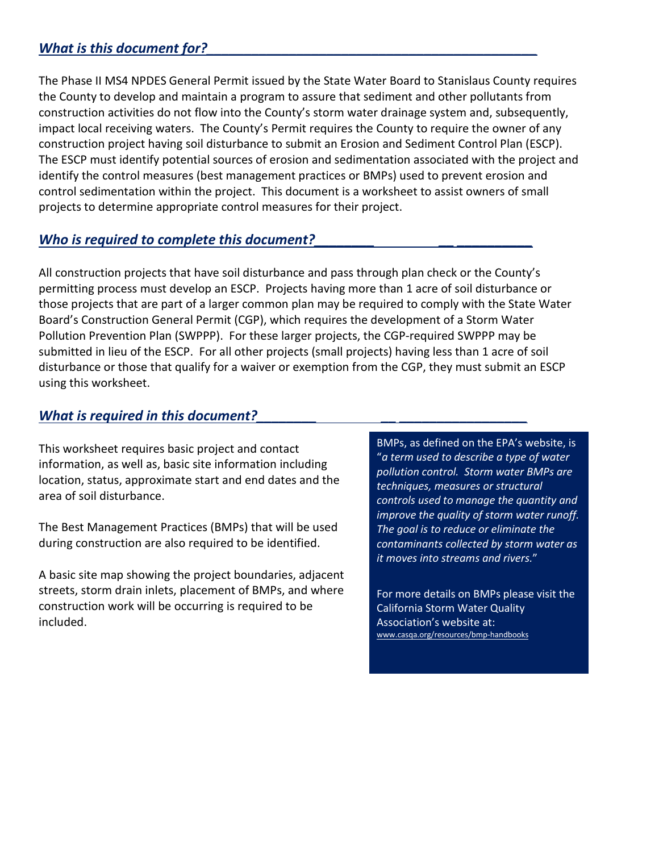## What is this document for?

The Phase II MS4 NPDES General Permit issued by the State Water Board to Stanislaus County requires the County to develop and maintain a program to assure that sediment and other pollutants from construction activities do not flow into the County's storm water drainage system and, subsequently, impact local receiving waters. The County's Permit requires the County to require the owner of any construction project having soil disturbance to submit an Erosion and Sediment Control Plan (ESCP). The ESCP must identify potential sources of erosion and sedimentation associated with the project and identify the control measures (best management practices or BMPs) used to prevent erosion and control sedimentation within the project. This document is a worksheet to assist owners of small projects to determine appropriate control measures for their project.

#### Who is required to complete this document?

All construction projects that have soil disturbance and pass through plan check or the County's permitting process must develop an ESCP. Projects having more than 1 acre of soil disturbance or those projects that are part of a larger common plan may be required to comply with the State Water Board's Construction General Permit (CGP), which requires the development of a Storm Water Pollution Prevention Plan (SWPPP). For these larger projects, the CGP-required SWPPP may be submitted in lieu of the ESCP. For all other projects (small projects) having less than 1 acre of soil disturbance or those that qualify for a waiver or exemption from the CGP, they must submit an ESCP using this worksheet.

#### *What is required in this document?*

This worksheet requires basic project and contact information, as well as, basic site information including location, status, approximate start and end dates and the area of soil disturbance.

The Best Management Practices (BMPs) that will be used during construction are also required to be identified.

A basic site map showing the project boundaries, adjacent streets, storm drain inlets, placement of BMPs, and where construction work will be occurring is required to be included.

BMPs, as defined on the EPA's website, is "*a term used to describe a type of water pollution control. Storm water BMPs are techniques, measures or structural controls used to manage the quantity and improve the quality of storm water runoff. The goal is to reduce or eliminate the contaminants collected by storm water as it moves into streams and rivers.*"

For more details on BMPs please visit the California Storm Water Quality Association's website at: www.casqa.org/resources/bmp-handbooks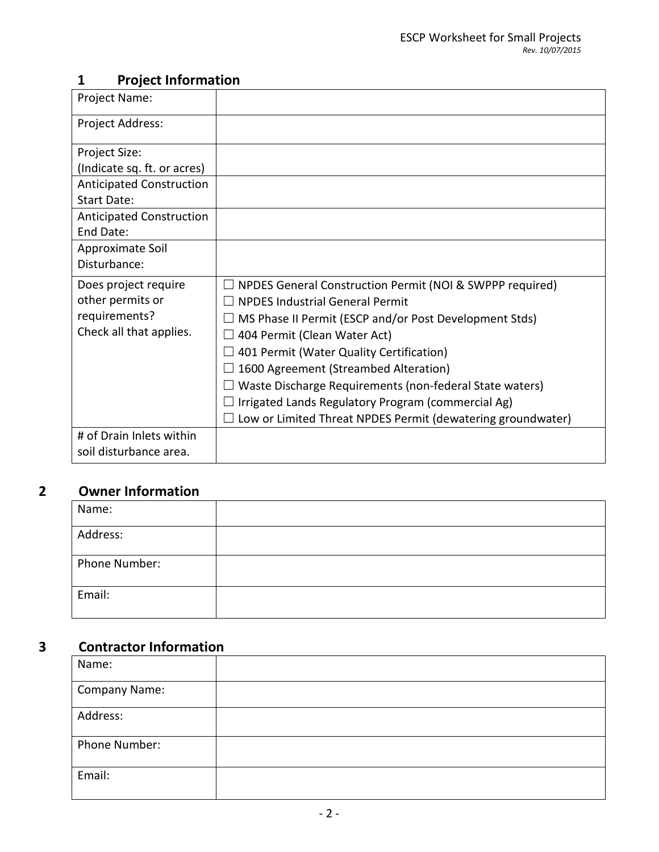# **1 Project Information**

| Project Name:                   |                                                                 |
|---------------------------------|-----------------------------------------------------------------|
| Project Address:                |                                                                 |
| Project Size:                   |                                                                 |
| (Indicate sq. ft. or acres)     |                                                                 |
| <b>Anticipated Construction</b> |                                                                 |
| Start Date:                     |                                                                 |
| <b>Anticipated Construction</b> |                                                                 |
| End Date:                       |                                                                 |
| Approximate Soil                |                                                                 |
| Disturbance:                    |                                                                 |
|                                 |                                                                 |
| Does project require            | $\Box$ NPDES General Construction Permit (NOI & SWPPP required) |
| other permits or                | <b>NPDES Industrial General Permit</b>                          |
| requirements?                   | $\Box$ MS Phase II Permit (ESCP and/or Post Development Stds)   |
| Check all that applies.         | 404 Permit (Clean Water Act)                                    |
|                                 | 401 Permit (Water Quality Certification)                        |
|                                 | 1600 Agreement (Streambed Alteration)                           |
|                                 | Waste Discharge Requirements (non-federal State waters)         |
|                                 | Irrigated Lands Regulatory Program (commercial Ag)              |
|                                 | Low or Limited Threat NPDES Permit (dewatering groundwater)     |
| # of Drain Inlets within        |                                                                 |

# **2 Owner Information**

| Name:         |  |
|---------------|--|
| Address:      |  |
| Phone Number: |  |
| Email:        |  |

# **3 Contractor Information**

| Name:                |  |
|----------------------|--|
| <b>Company Name:</b> |  |
| Address:             |  |
| Phone Number:        |  |
| Email:               |  |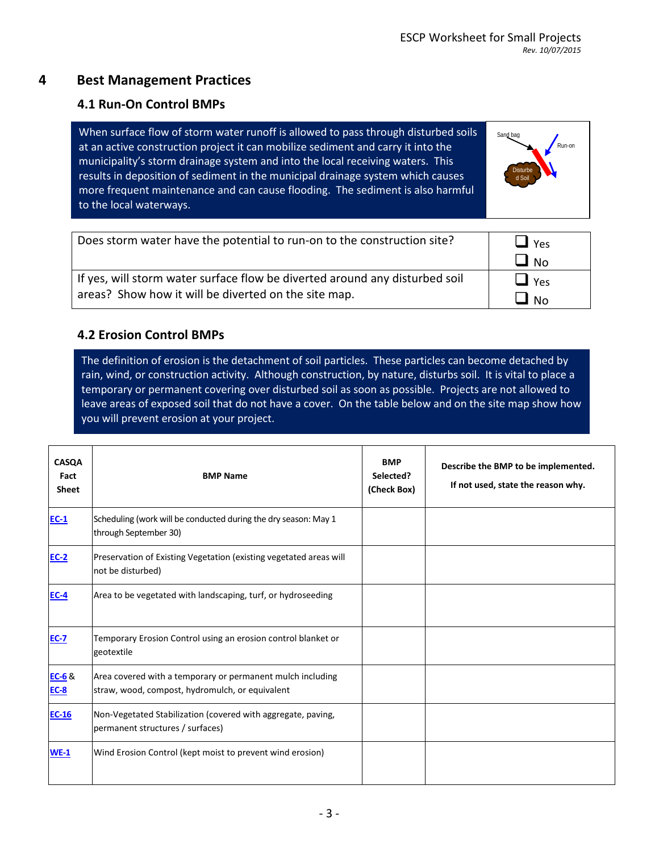### **4 Best Management Practices**

#### **4.1 Run-On Control BMPs**

When surface flow of storm water runoff is allowed to pass through disturbed soils at an active construction project it can mobilize sediment and carry it into the municipality's storm drainage system and into the local receiving waters. This results in deposition of sediment in the municipal drainage system which causes more frequent maintenance and can cause flooding. The sediment is also harmful to the local waterways.



| Does storm water have the potential to run-on to the construction site?     | $\Box$ Yes |
|-----------------------------------------------------------------------------|------------|
|                                                                             | $\Box$ No  |
| If yes, will storm water surface flow be diverted around any disturbed soil | $\Box$ Yes |
| areas? Show how it will be diverted on the site map.                        | $\Box$ No  |

### **4.2 Erosion Control BMPs**

The definition of erosion is the detachment of soil particles. These particles can become detached by rain, wind, or construction activity. Although construction, by nature, disturbs soil. It is vital to place a temporary or permanent covering over disturbed soil as soon as possible. Projects are not allowed to leave areas of exposed soil that do not have a cover. On the table below and on the site map show how you will prevent erosion at your project.

| <b>CASQA</b><br>Fact<br><b>Sheet</b> | <b>BMP Name</b>                                                                                               | <b>BMP</b><br>Selected?<br>(Check Box) | Describe the BMP to be implemented.<br>If not used, state the reason why. |
|--------------------------------------|---------------------------------------------------------------------------------------------------------------|----------------------------------------|---------------------------------------------------------------------------|
| $EC-1$                               | Scheduling (work will be conducted during the dry season: May 1<br>through September 30)                      |                                        |                                                                           |
| <b>EC-2</b>                          | Preservation of Existing Vegetation (existing vegetated areas will<br>not be disturbed)                       |                                        |                                                                           |
| <b>EC-4</b>                          | Area to be vegetated with landscaping, turf, or hydroseeding                                                  |                                        |                                                                           |
| <b>EC-7</b>                          | Temporary Erosion Control using an erosion control blanket or<br>geotextile                                   |                                        |                                                                           |
| $EC-6$ &<br><b>EC-8</b>              | Area covered with a temporary or permanent mulch including<br>straw, wood, compost, hydromulch, or equivalent |                                        |                                                                           |
| $EC-16$                              | Non-Vegetated Stabilization (covered with aggregate, paving,<br>permanent structures / surfaces)              |                                        |                                                                           |
| $WE-1$                               | Wind Erosion Control (kept moist to prevent wind erosion)                                                     |                                        |                                                                           |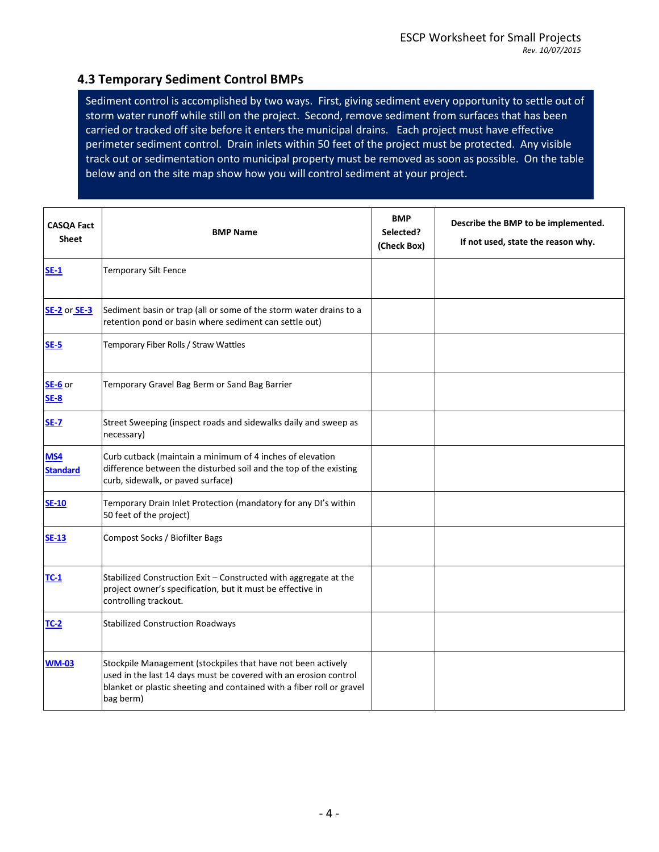### **4.3 Temporary Sediment Control BMPs**

Sediment control is accomplished by two ways. First, giving sediment every opportunity to settle out of storm water runoff while still on the project. Second, remove sediment from surfaces that has been carried or tracked off site before it enters the municipal drains. Each project must have effective perimeter sediment control. Drain inlets within 50 feet of the project must be protected. Any visible track out or sedimentation onto municipal property must be removed as soon as possible. On the table below and on the site map show how you will control sediment at your project.

| <b>CASQA Fact</b><br><b>Sheet</b> | <b>BMP Name</b>                                                                                                                                                                                                        | <b>BMP</b><br>Selected?<br>(Check Box) | Describe the BMP to be implemented.<br>If not used, state the reason why. |
|-----------------------------------|------------------------------------------------------------------------------------------------------------------------------------------------------------------------------------------------------------------------|----------------------------------------|---------------------------------------------------------------------------|
| $SE-1$                            | <b>Temporary Silt Fence</b>                                                                                                                                                                                            |                                        |                                                                           |
| <b>SE-2</b> or <b>SE-3</b>        | Sediment basin or trap (all or some of the storm water drains to a<br>retention pond or basin where sediment can settle out)                                                                                           |                                        |                                                                           |
| $SE-5$                            | Temporary Fiber Rolls / Straw Wattles                                                                                                                                                                                  |                                        |                                                                           |
| SE-6 or<br>$SE-8$                 | Temporary Gravel Bag Berm or Sand Bag Barrier                                                                                                                                                                          |                                        |                                                                           |
| <b>SE-7</b>                       | Street Sweeping (inspect roads and sidewalks daily and sweep as<br>necessary)                                                                                                                                          |                                        |                                                                           |
| MS4<br><b>Standard</b>            | Curb cutback (maintain a minimum of 4 inches of elevation<br>difference between the disturbed soil and the top of the existing<br>curb, sidewalk, or paved surface)                                                    |                                        |                                                                           |
| <b>SE-10</b>                      | Temporary Drain Inlet Protection (mandatory for any DI's within<br>50 feet of the project)                                                                                                                             |                                        |                                                                           |
| <b>SE-13</b>                      | Compost Socks / Biofilter Bags                                                                                                                                                                                         |                                        |                                                                           |
| $TC-1$                            | Stabilized Construction Exit - Constructed with aggregate at the<br>project owner's specification, but it must be effective in<br>controlling trackout.                                                                |                                        |                                                                           |
| <b>TC-2</b>                       | <b>Stabilized Construction Roadways</b>                                                                                                                                                                                |                                        |                                                                           |
| <b>WM-03</b>                      | Stockpile Management (stockpiles that have not been actively<br>used in the last 14 days must be covered with an erosion control<br>blanket or plastic sheeting and contained with a fiber roll or gravel<br>bag berm) |                                        |                                                                           |